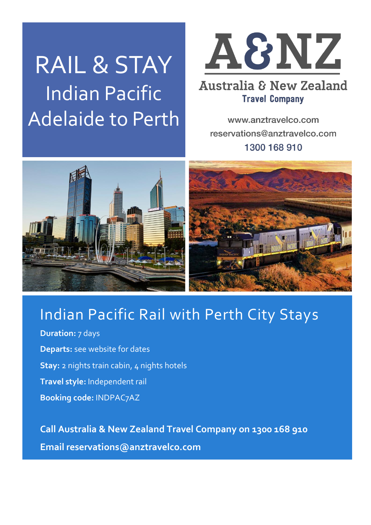# RAIL & STAY Indian Pacific Adelaide to Perth



### **Australia & New Zealand Travel Company**

www.anztravelco.com reservations@anztravelco.com 1300 168 910



# Indian Pacific Rail with Perth City Stays

**Duration:** 7 days **Departs:** see website for dates **Stay:** 2 nights train cabin, 4 nights hotels **Travel style:** Independent rail **Booking code:** INDPAC7AZ

**Call Australia & New Zealand Travel Company on 1300 168 910 Email reservations@anztravelco.com**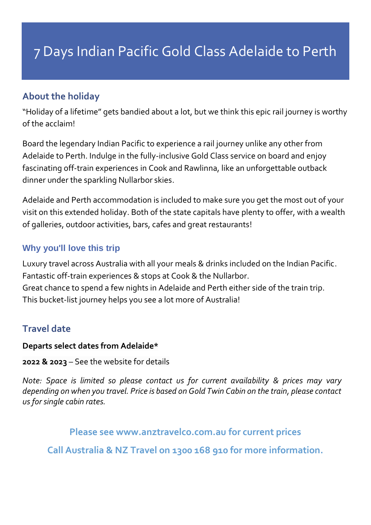#### **About the holiday**

"Holiday of a lifetime" gets bandied about a lot, but we think this epic rail journey is worthy of the acclaim!

Board the legendary Indian Pacific to experience a rail journey unlike any other from Adelaide to Perth. Indulge in the fully-inclusive Gold Class service on board and enjoy fascinating off-train experiences in Cook and Rawlinna, like an unforgettable outback dinner under the sparkling Nullarbor skies.

Adelaide and Perth accommodation is included to make sure you get the most out of your visit on this extended holiday. Both of the state capitals have plenty to offer, with a wealth of galleries, outdoor activities, bars, cafes and great restaurants!

#### **Why you'll love this trip**

Luxury travel across Australia with all your meals & drinks included on the Indian Pacific. Fantastic off-train experiences & stops at Cook & the Nullarbor. Great chance to spend a few nights in Adelaide and Perth either side of the train trip. This bucket-list journey helps you see a lot more of Australia!

#### **Travel date**

#### **Departs select dates from Adelaide\***

**2022 & 2023** – See the website for details

*Note: Space is limited so please contact us for current availability & prices may vary depending on when you travel. Price is based on Gold Twin Cabin on the train, please contact us for single cabin rates.*

**Please see www.anztravelco.com.au for current prices**

**Call Australia & NZ Travel on 1300 168 910 for more information.**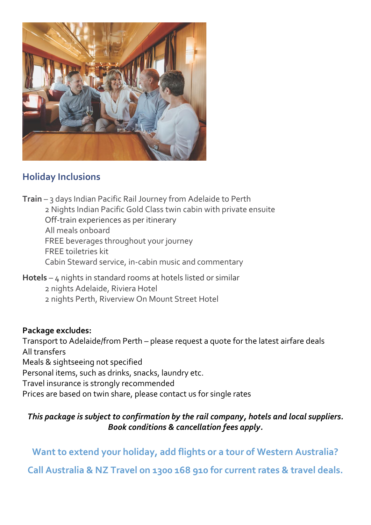

#### **Holiday Inclusions**

**Train** – 3 days Indian Pacific Rail Journey from Adelaide to Perth 2 Nights Indian Pacific Gold Class twin cabin with private ensuite Off-train experiences as per itinerary All meals onboard FREE beverages throughout your journey FREE toiletries kit Cabin Steward service, in-cabin music and commentary

**Hotels** – 4 nights in standard rooms at hotels listed or similar

2 nights Adelaide, Riviera Hotel

2 nights Perth, Riverview On Mount Street Hotel

#### **Package excludes:**

Transport to Adelaide/from Perth – please request a quote for the latest airfare deals All transfers

Meals & sightseeing not specified

Personal items, such as drinks, snacks, laundry etc.

Travel insurance is strongly recommended

Prices are based on twin share, please contact us for single rates

#### *This package is subject to confirmation by the rail company, hotels and local suppliers. Book conditions & cancellation fees apply.*

**Want to extend your holiday, add flights or a tour of Western Australia?**

**Call Australia & NZ Travel on 1300 168 910 for current rates & travel deals.**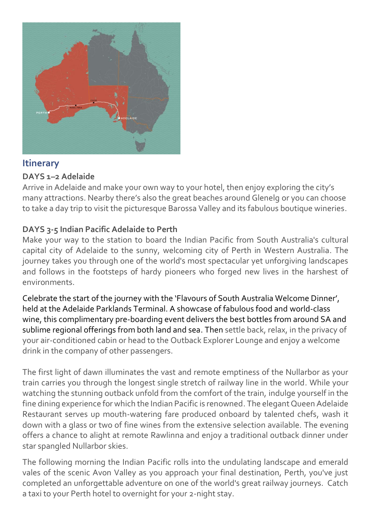

#### **Itinerary**

#### **DAYS 1–2 Adelaide**

Arrive in Adelaide and make your own way to your hotel, then enjoy exploring the city's many attractions. Nearby there's also the great beaches around Glenelg or you can choose to take a day trip to visit the picturesque Barossa Valley and its fabulous boutique wineries.

#### **DAYS 3-5 Indian Pacific Adelaide to Perth**

Make your way to the station to board the Indian Pacific from South Australia's cultural capital city of Adelaide to the sunny, welcoming city of Perth in Western Australia. The journey takes you through one of the world's most spectacular yet unforgiving landscapes and follows in the footsteps of hardy pioneers who forged new lives in the harshest of environments.

Celebrate the start of the journey with the 'Flavours of South Australia Welcome Dinner', held at the Adelaide Parklands Terminal. A showcase of fabulous food and world-class wine, this complimentary pre-boarding event delivers the best bottles from around SA and sublime regional offerings from both land and sea. Then settle back, relax, in the privacy of your air-conditioned cabin or head to the Outback Explorer Lounge and enjoy a welcome drink in the company of other passengers.

The first light of dawn illuminates the vast and remote emptiness of the Nullarbor as your train carries you through the longest single stretch of railway line in the world. While your watching the stunning outback unfold from the comfort of the train, indulge yourself in the fine dining experience for which the Indian Pacific is renowned. The elegant Queen Adelaide Restaurant serves up mouth-watering fare produced onboard by talented chefs, wash it down with a glass or two of fine wines from the extensive selection available. The evening offers a chance to alight at remote Rawlinna and enjoy a traditional outback dinner under star spangled Nullarbor skies.

The following morning the Indian Pacific rolls into the undulating landscape and emerald vales of the scenic Avon Valley as you approach your final destination, Perth, you've just completed an unforgettable adventure on one of the world's great railway journeys. Catch a taxi to your Perth hotel to overnight for your 2-night stay.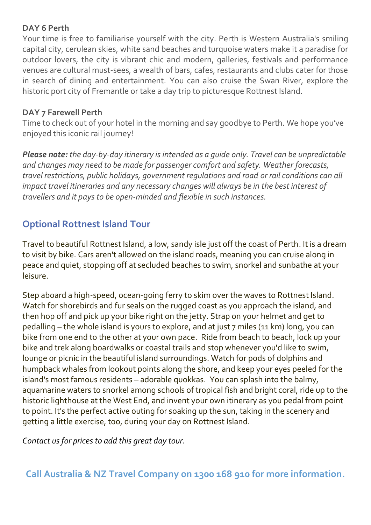#### **DAY 6 Perth**

Your time is free to familiarise yourself with the city. Perth is Western Australia's smiling capital city, cerulean skies, white sand beaches and turquoise waters make it a paradise for outdoor lovers, the city is vibrant chic and modern, galleries, festivals and performance venues are cultural must-sees, a wealth of bars, cafes, restaurants and clubs cater for those in search of dining and entertainment. You can also cruise the Swan River, explore the historic port city of Fremantle or take a day trip to picturesque Rottnest Island.

#### **DAY 7 Farewell Perth**

Time to check out of your hotel in the morning and say goodbye to Perth. We hope you've enjoyed this iconic rail journey!

*Please note: the day-by-day itinerary is intended as a guide only. Travel can be unpredictable and changes may need to be made for passenger comfort and safety. Weather forecasts, travel restrictions, public holidays, government regulations and road or rail conditions can all impact travel itineraries and any necessary changes will always be in the best interest of travellers and it pays to be open-minded and flexible in such instances.*

#### **Optional Rottnest Island Tour**

Travel to beautiful Rottnest Island, a low, sandy isle just off the coast of Perth. It is a dream to visit by bike. Cars aren't allowed on the island roads, meaning you can cruise along in peace and quiet, stopping off at secluded beaches to swim, snorkel and sunbathe at your leisure.

Step aboard a high-speed, ocean-going ferry to skim over the waves to Rottnest Island. Watch for shorebirds and fur seals on the rugged coast as you approach the island, and then hop off and pick up your bike right on the jetty. Strap on your helmet and get to pedalling – the whole island is yours to explore, and at just 7 miles (11 km) long, you can bike from one end to the other at your own pace. Ride from beach to beach, lock up your bike and trek along boardwalks or coastal trails and stop whenever you'd like to swim, lounge or picnic in the beautiful island surroundings. Watch for pods of dolphins and humpback whales from lookout points along the shore, and keep your eyes peeled for the island's most famous residents – adorable quokkas. You can splash into the balmy, aquamarine waters to snorkel among schools of tropical fish and bright coral, ride up to the historic lighthouse at the West End, and invent your own itinerary as you pedal from point to point. It's the perfect active outing for soaking up the sun, taking in the scenery and getting a little exercise, too, during your day on Rottnest Island.

*Contact us for prices to add this great day tour.*

**Call Australia & NZ Travel Company on 1300 168 910 for more information.**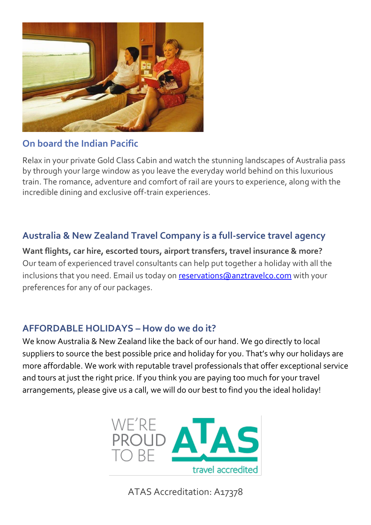

#### **On board the Indian Pacific**

Relax in your private Gold Class Cabin and watch the stunning landscapes of Australia pass by through your large window as you leave the everyday world behind on this luxurious train. The romance, adventure and comfort of rail are yours to experience, along with the incredible dining and exclusive off-train experiences.

#### **Australia & New Zealand Travel Company is a full-service travel agency**

**Want flights, car hire, escorted tours, airport transfers, travel insurance & more?** Our team of experienced travel consultants can help put together a holiday with all the inclusions that you need. Email us today on [reservations@anztravelco.com](mailto:reservations@anztravelco.com) with your preferences for any of our packages.

#### **AFFORDABLE HOLIDAYS – How do we do it?**

We know Australia & New Zealand like the back of our hand. We go directly to local suppliers to source the best possible price and holiday for you. That's why our holidays are more affordable. We work with reputable travel professionals that offer exceptional service and tours at just the right price. If you think you are paying too much for your travel arrangements, please give us a call, we will do our best to find you the ideal holiday!



ATAS Accreditation: A17378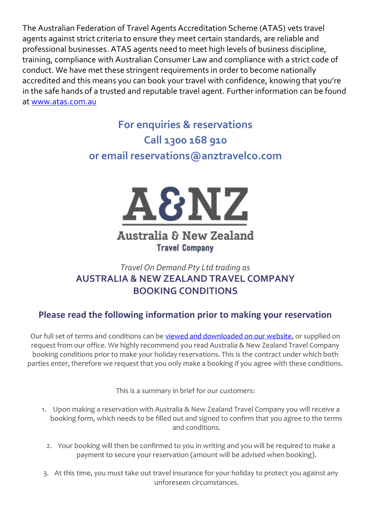The Australian Federation of Travel Agents Accreditation Scheme (ATAS) vets travel agents against strict criteria to ensure they meet certain standards, are reliable and professional businesses. ATAS agents need to meet high levels of business discipline, training, compliance with Australian Consumer Law and compliance with a strict code of conduct. We have met these stringent requirements in order to become nationally accredited and this means you can book your travel with confidence, knowing that you're in the safe hands of a trusted and reputable travel agent. Further information can be found at [www.atas.com.au](https://www.atas.com.au/)

## **For enquiries & reservations Call 1300 168 910 or email reservations@anztravelco.com**



#### Australia & New Zealand **Travel Company**

#### *Travel On Demand Pty Ltd trading as* **AUSTRALIA & NEW ZEALAND TRAVEL COMPANY BOOKING CONDITIONS**

#### **Please read the following information prior to making your reservation**

Our full set of terms and conditions can be [viewed and downloaded on our website,](https://anztravelco.com.au/booking-conditions/) or supplied on request from our office. We highly recommend you read Australia & New Zealand Travel Company booking conditions prior to make your holiday reservations. This is the contract under which both parties enter, therefore we request that you only make a booking if you agree with these conditions.

This is a summary in brief for our customers:

- 1. Upon making a reservation with Australia & New Zealand Travel Company you will receive a booking form, which needs to be filled out and signed to confirm that you agree to the terms and conditions.
	- 2. Your booking will then be confirmed to you in writing and you will be required to make a payment to secure your reservation (amount will be advised when booking).
- 3. At this time, you must take out travel insurance for your holiday to protect you against any unforeseen circumstances.